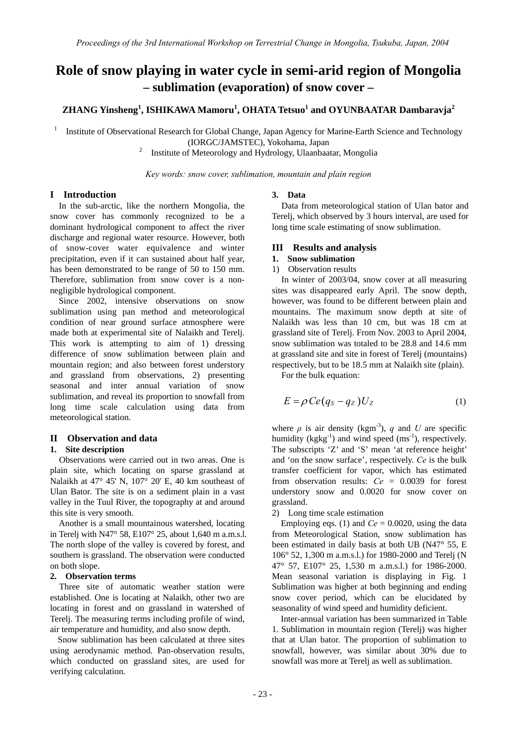# **Role of snow playing in water cycle in semi-arid region of Mongolia – sublimation (evaporation) of snow cover –**

# **ZHANG Yinsheng<sup>1</sup> , ISHIKAWA Mamoru<sup>1</sup> , OHATA Tetsuo<sup>1</sup> and OYUNBAATAR Dambaravja2**

1 Institute of Observational Research for Global Change, Japan Agency for Marine-Earth Science and Technology (IORGC/JAMSTEC), Yokohama, Japan 2

Institute of Meteorology and Hydrology, Ulaanbaatar, Mongolia

*Key words: snow cover, sublimation, mountain and plain region* 

## **I Introduction**

In the sub-arctic, like the northern Mongolia, the snow cover has commonly recognized to be a dominant hydrological component to affect the river discharge and regional water resource. However, both of snow-cover water equivalence and winter precipitation, even if it can sustained about half year, has been demonstrated to be range of 50 to 150 mm. Therefore, sublimation from snow cover is a nonnegligible hydrological component.

Since 2002, intensive observations on snow sublimation using pan method and meteorological condition of near ground surface atmosphere were made both at experimental site of Nalaikh and Terelj. This work is attempting to aim of 1) dressing difference of snow sublimation between plain and mountain region; and also between forest understory and grassland from observations, 2) presenting seasonal and inter annual variation of snow sublimation, and reveal its proportion to snowfall from long time scale calculation using data from meteorological station.

# **II Observation and data**

# **1. Site description**

Observations were carried out in two areas. One is plain site, which locating on sparse grassland at Nalaikh at 47° 45' N, 107° 20' E, 40 km southeast of Ulan Bator. The site is on a sediment plain in a vast valley in the Tuul River, the topography at and around this site is very smooth.

 Another is a small mountainous watershed, locating in Terelj with N47° 58, E107° 25, about 1,640 m a.m.s.l. The north slope of the valley is covered by forest, and southern is grassland. The observation were conducted on both slope.

#### **2. Observation terms**

Three site of automatic weather station were established. One is locating at Nalaikh, other two are locating in forest and on grassland in watershed of Terelj. The measuring terms including profile of wind, air temperature and humidity, and also snow depth.

Snow sublimation has been calculated at three sites using aerodynamic method. Pan-observation results, which conducted on grassland sites, are used for verifying calculation.

#### **3. Data**

Data from meteorological station of Ulan bator and Terelj, which observed by 3 hours interval, are used for long time scale estimating of snow sublimation.

#### **III Results and analysis**

# **1. Snow sublimation**

1) Observation results

In winter of 2003/04, snow cover at all measuring sites was disappeared early April. The snow depth, however, was found to be different between plain and mountains. The maximum snow depth at site of Nalaikh was less than 10 cm, but was 18 cm at grassland site of Terelj. From Nov. 2003 to April 2004, snow sublimation was totaled to be 28.8 and 14.6 mm at grassland site and site in forest of Terelj (mountains) respectively, but to be 18.5 mm at Nalaikh site (plain).

For the bulk equation:

$$
E = \rho C e (q_S - q_Z) U_Z \tag{1}
$$

where  $\rho$  is air density (kgm<sup>-3</sup>), *q* and *U* are specific humidity  $(kgkg^{-1})$  and wind speed  $(ms^{-1})$ , respectively. The subscripts 'Z' and 'S' mean 'at reference height' and 'on the snow surface', respectively. *Ce* is the bulk transfer coefficient for vapor, which has estimated from observation results: *Ce* = 0.0039 for forest understory snow and 0.0020 for snow cover on grassland.

2) Long time scale estimation

Employing eqs. (1) and  $Ce = 0.0020$ , using the data from Meteorological Station, snow sublimation has been estimated in daily basis at both UB (N47° 55, E 106° 52, 1,300 m a.m.s.l.) for 1980-2000 and Terelj (N 47° 57, E107° 25, 1,530 m a.m.s.l.) for 1986-2000. Mean seasonal variation is displaying in Fig. 1 Sublimation was higher at both beginning and ending snow cover period, which can be elucidated by seasonality of wind speed and humidity deficient.

Inter-annual variation has been summarized in Table 1. Sublimation in mountain region (Terelj) was higher that at Ulan bator. The proportion of sublimation to snowfall, however, was similar about 30% due to snowfall was more at Terelj as well as sublimation.